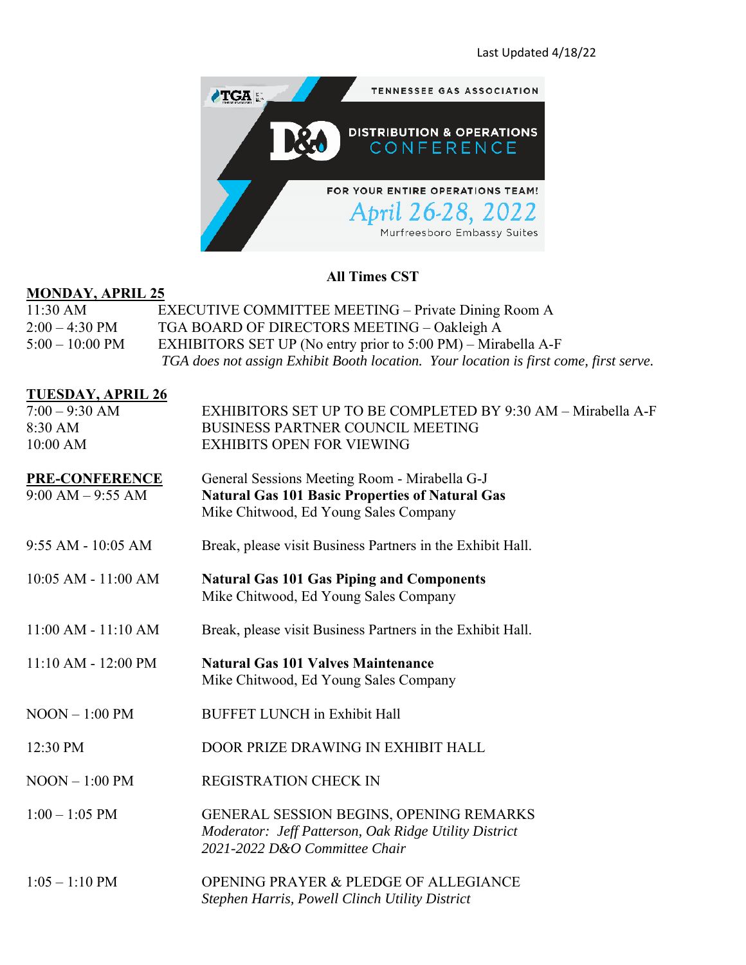| <b>TENNESSEE GAS ASSOCIATION</b>                   |
|----------------------------------------------------|
| <b>DISTRIBUTION &amp; OPERATIONS</b><br>CONFERENCE |
| FOR YOUR ENTIRE OPERATIONS TEAM!                   |
| April 26-28, 2022                                  |
| Murfreesboro Embassy Suites                        |

# **All Times CST**

# **MONDAY, APRIL 25**

| $11:30 \text{ AM}$       | <b>EXECUTIVE COMMITTEE MEETING – Private Dining Room A</b>                            |
|--------------------------|---------------------------------------------------------------------------------------|
| $2:00 - 4:30 \text{ PM}$ | TGA BOARD OF DIRECTORS MEETING - Oakleigh A                                           |
| $5:00-10:00$ PM          | EXHIBITORS SET UP (No entry prior to $5:00 \text{ PM}$ ) – Mirabella A-F              |
|                          | TGA does not assign Exhibit Booth location. Your location is first come, first serve. |

#### **TUESDAY, APRIL 26**

| $7:00 - 9:30$ AM<br>8:30 AM<br>10:00 AM | EXHIBITORS SET UP TO BE COMPLETED BY 9:30 AM - Mirabella A-F<br><b>BUSINESS PARTNER COUNCIL MEETING</b><br><b>EXHIBITS OPEN FOR VIEWING</b>      |
|-----------------------------------------|--------------------------------------------------------------------------------------------------------------------------------------------------|
| PRE-CONFERENCE<br>$9:00 AM - 9:55 AM$   | General Sessions Meeting Room - Mirabella G-J<br><b>Natural Gas 101 Basic Properties of Natural Gas</b><br>Mike Chitwood, Ed Young Sales Company |
| 9:55 AM - 10:05 AM                      | Break, please visit Business Partners in the Exhibit Hall.                                                                                       |
| 10:05 AM - 11:00 AM                     | <b>Natural Gas 101 Gas Piping and Components</b><br>Mike Chitwood, Ed Young Sales Company                                                        |
| $11:00$ AM - $11:10$ AM                 | Break, please visit Business Partners in the Exhibit Hall.                                                                                       |
| $11:10 AM - 12:00 PM$                   | <b>Natural Gas 101 Valves Maintenance</b><br>Mike Chitwood, Ed Young Sales Company                                                               |
| $NOOD - 1:00 PM$                        | <b>BUFFET LUNCH</b> in Exhibit Hall                                                                                                              |
| 12:30 PM                                | DOOR PRIZE DRAWING IN EXHIBIT HALL                                                                                                               |
| $N$ OON $-$ 1:00 PM                     | <b>REGISTRATION CHECK IN</b>                                                                                                                     |
| $1:00 - 1:05$ PM                        | <b>GENERAL SESSION BEGINS, OPENING REMARKS</b><br>Moderator: Jeff Patterson, Oak Ridge Utility District<br>2021-2022 D&O Committee Chair         |
| $1:05 - 1:10$ PM                        | <b>OPENING PRAYER &amp; PLEDGE OF ALLEGIANCE</b><br>Stephen Harris, Powell Clinch Utility District                                               |
|                                         |                                                                                                                                                  |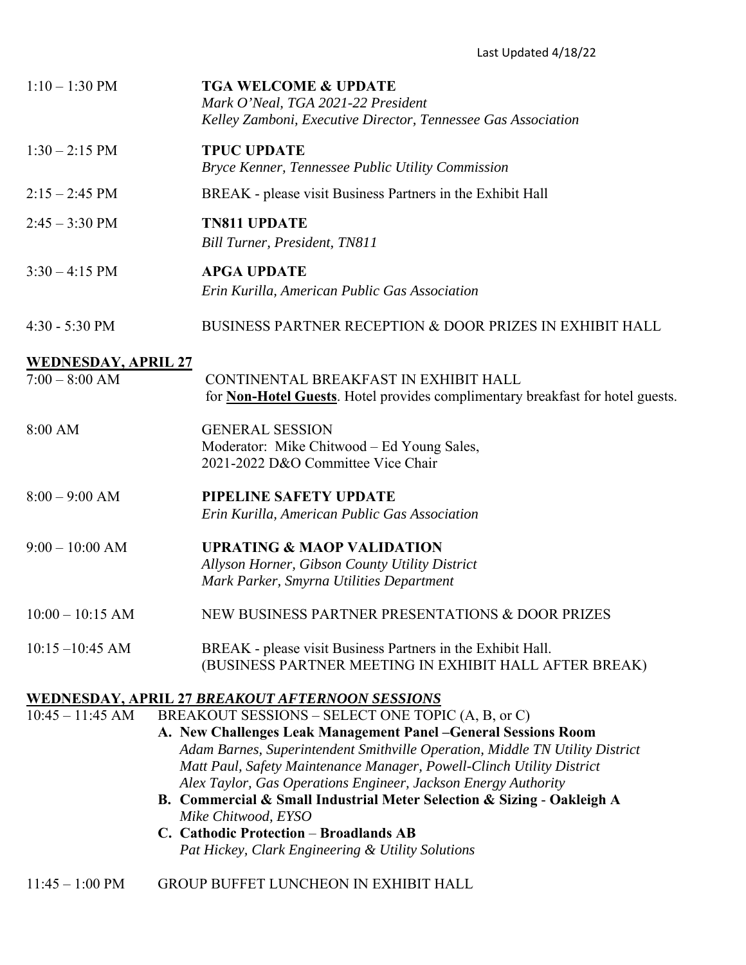| $1:10 - 1:30$ PM           | <b>TGA WELCOME &amp; UPDATE</b><br>Mark O'Neal, TGA 2021-22 President<br>Kelley Zamboni, Executive Director, Tennessee Gas Association                |
|----------------------------|-------------------------------------------------------------------------------------------------------------------------------------------------------|
| $1:30 - 2:15$ PM           | <b>TPUC UPDATE</b><br>Bryce Kenner, Tennessee Public Utility Commission                                                                               |
| $2:15 - 2:45$ PM           | BREAK - please visit Business Partners in the Exhibit Hall                                                                                            |
| $2:45 - 3:30 \text{ PM}$   | <b>TN811 UPDATE</b><br>Bill Turner, President, TN811                                                                                                  |
| $3:30 - 4:15$ PM           | <b>APGA UPDATE</b>                                                                                                                                    |
|                            | Erin Kurilla, American Public Gas Association                                                                                                         |
| $4:30 - 5:30$ PM           | BUSINESS PARTNER RECEPTION & DOOR PRIZES IN EXHIBIT HALL                                                                                              |
| <b>WEDNESDAY, APRIL 27</b> |                                                                                                                                                       |
| $7:00 - 8:00$ AM           | CONTINENTAL BREAKFAST IN EXHIBIT HALL<br>for <b>Non-Hotel Guests</b> . Hotel provides complimentary breakfast for hotel guests.                       |
| 8:00 AM                    | <b>GENERAL SESSION</b><br>Moderator: Mike Chitwood – Ed Young Sales,<br>2021-2022 D&O Committee Vice Chair                                            |
| $8:00 - 9:00$ AM           | PIPELINE SAFETY UPDATE                                                                                                                                |
|                            | Erin Kurilla, American Public Gas Association                                                                                                         |
| $9:00 - 10:00$ AM          | <b>UPRATING &amp; MAOP VALIDATION</b>                                                                                                                 |
|                            | Allyson Horner, Gibson County Utility District                                                                                                        |
|                            | Mark Parker, Smyrna Utilities Department                                                                                                              |
| $10:00 - 10:15$ AM         | NEW BUSINESS PARTNER PRESENTATIONS & DOOR PRIZES                                                                                                      |
| $10:15 - 10:45$ AM         | BREAK - please visit Business Partners in the Exhibit Hall.<br>(BUSINESS PARTNER MEETING IN EXHIBIT HALL AFTER BREAK)                                 |
|                            | <u>WEDNESDAY, APRIL 27 BREAKOUT AFTERNOON SESSIONS</u>                                                                                                |
| $10:45 - 11:45$ AM         | BREAKOUT SESSIONS - SELECT ONE TOPIC (A, B, or C)                                                                                                     |
|                            | A. New Challenges Leak Management Panel - General Sessions Room                                                                                       |
|                            | Adam Barnes, Superintendent Smithville Operation, Middle TN Utility District<br>Matt Paul, Safety Maintenance Manager, Powell-Clinch Utility District |
|                            | Alex Taylor, Gas Operations Engineer, Jackson Energy Authority                                                                                        |
|                            | B. Commercial & Small Industrial Meter Selection & Sizing - Oakleigh A                                                                                |
|                            | Mike Chitwood, EYSO                                                                                                                                   |
|                            | C. Cathodic Protection - Broadlands AB                                                                                                                |
|                            | Pat Hickey, Clark Engineering & Utility Solutions                                                                                                     |

### 11:45 – 1:00 PM GROUP BUFFET LUNCHEON IN EXHIBIT HALL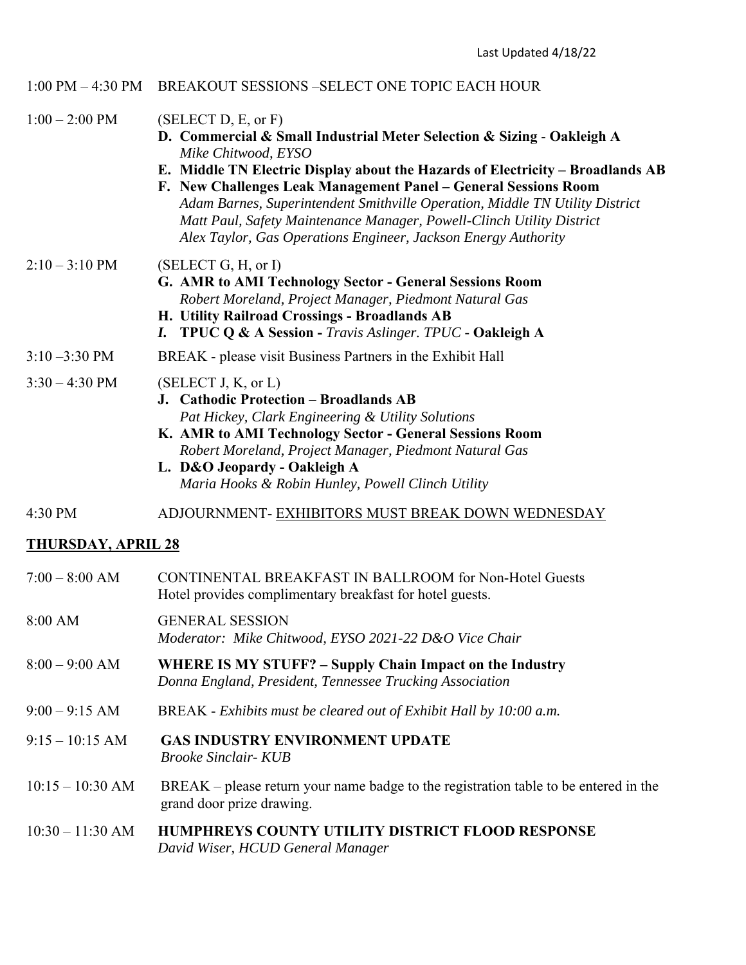#### 1:00 PM – 4:30 PM BREAKOUT SESSIONS –SELECT ONE TOPIC EACH HOUR

- $1:00 2:00 \text{ PM}$  (SELECT D, E, or F)
	- **D. Commercial & Small Industrial Meter Selection & Sizing Oakleigh A** *Mike Chitwood, EYSO*
	- **E. Middle TN Electric Display about the Hazards of Electricity Broadlands AB**
	- **F. New Challenges Leak Management Panel General Sessions Room** *Adam Barnes, Superintendent Smithville Operation, Middle TN Utility District Matt Paul, Safety Maintenance Manager, Powell-Clinch Utility District Alex Taylor, Gas Operations Engineer, Jackson Energy Authority*

### $2:10 - 3:10 \text{ PM}$  (SELECT G, H, or I)

- **G. AMR to AMI Technology Sector General Sessions Room** *Robert Moreland, Project Manager, Piedmont Natural Gas*
- **H. Utility Railroad Crossings Broadlands AB**
- *I.* **TPUC Q & A Session** *Travis Aslinger. TPUC* **Oakleigh A**

#### 3:10 –3:30 PM BREAK - please visit Business Partners in the Exhibit Hall

# $3:30 - 4:30 \text{ PM}$  (SELECT J, K, or L)

- **J. Cathodic Protection Broadlands AB** *Pat Hickey, Clark Engineering & Utility Solutions*
- **K. AMR to AMI Technology Sector General Sessions Room**  *Robert Moreland, Project Manager, Piedmont Natural Gas*
- **L. D&O Jeopardy Oakleigh A**  *Maria Hooks & Robin Hunley, Powell Clinch Utility*

### 4:30 PM ADJOURNMENT- EXHIBITORS MUST BREAK DOWN WEDNESDAY

### **THURSDAY, APRIL 28**

| $7:00 - 8:00$ AM   | CONTINENTAL BREAKFAST IN BALLROOM for Non-Hotel Guests<br>Hotel provides complimentary breakfast for hotel guests.          |
|--------------------|-----------------------------------------------------------------------------------------------------------------------------|
| 8:00 AM            | <b>GENERAL SESSION</b><br>Moderator: Mike Chitwood, EYSO 2021-22 D&O Vice Chair                                             |
| $8:00 - 9:00$ AM   | <b>WHERE IS MY STUFF? – Supply Chain Impact on the Industry</b><br>Donna England, President, Tennessee Trucking Association |
| $9:00 - 9:15$ AM   | BREAK - Exhibits must be cleared out of Exhibit Hall by 10:00 a.m.                                                          |
| $9:15-10:15$ AM    | <b>GAS INDUSTRY ENVIRONMENT UPDATE</b><br><i>Brooke Sinclair- KUB</i>                                                       |
| $10:15 - 10:30$ AM | $BREAK$ – please return your name badge to the registration table to be entered in the<br>grand door prize drawing.         |
| $10:30 - 11:30$ AM | <b>HUMPHREYS COUNTY UTILITY DISTRICT FLOOD RESPONSE</b><br>David Wiser, HCUD General Manager                                |